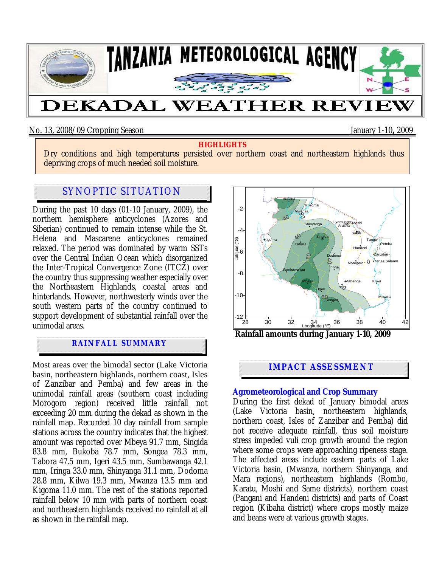

## No. 13, 2008/09 Cropping Season January 1-10**,** 2009

#### **HIGHLIGHTS**

Dry conditions and high temperatures persisted over northern coast and northeastern highlands thus depriving crops of much needed soil moisture.

# SYNOPTIC SITUATION

During the past 10 days (01-10 January, 2009), the northern hemisphere anticyclones (Azores and Siberian) continued to remain intense while the St. Helena and Mascarene anticyclones remained relaxed. The period was dominated by warm SSTs over the Central Indian Ocean which disorganized the Inter-Tropical Convergence Zone (ITCZ) over the country thus suppressing weather especially over the Northeastern Highlands, coastal areas and hinterlands. However, northwesterly winds over the south western parts of the country continued to support development of substantial rainfall over the unimodal areas.

## **RAINFALL SUMMARY**

Most areas over the bimodal sector (Lake Victoria basin, northeastern highlands, northern coast, Isles of Zanzibar and Pemba) and few areas in the unimodal rainfall areas (southern coast including Morogoro region) received little rainfall not exceeding 20 mm during the dekad as shown in the rainfall map. Recorded 10 day rainfall from sample stations across the country indicates that the highest amount was reported over Mbeya 91.7 mm, Singida 83.8 mm, Bukoba 78.7 mm, Songea 78.3 mm, Tabora 47.5 mm, Igeri 43.5 mm, Sumbawanga 42.1 mm, Iringa 33.0 mm, Shinyanga 31.1 mm, Dodoma 28.8 mm, Kilwa 19.3 mm, Mwanza 13.5 mm and Kigoma 11.0 mm. The rest of the stations reported rainfall below 10 mm with parts of northern coast and northeastern highlands received no rainfall at all as shown in the rainfall map.



 **Rainfall amounts during January 1-10, 2009**

# **IMPACT ASSESSMENT**

### **Agrometeorological and Crop Summary**

During the first dekad of January bimodal areas (Lake Victoria basin, northeastern highlands, northern coast, Isles of Zanzibar and Pemba) did not receive adequate rainfall, thus soil moisture stress impeded vuli crop growth around the region where some crops were approaching ripeness stage. The affected areas include eastern parts of Lake Victoria basin, (Mwanza, northern Shinyanga, and Mara regions), northeastern highlands (Rombo, Karatu, Moshi and Same districts), northern coast (Pangani and Handeni districts) and parts of Coast region (Kibaha district) where crops mostly maize and beans were at various growth stages.